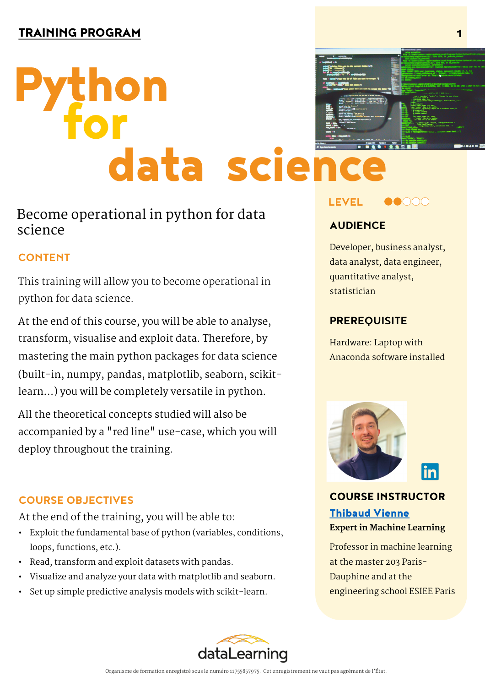# hon data science

# **Become operational in python for data science**

# **CONTENT**

This training will allow you to become operational in python for data science.

At the end of this course, you will be able to analyse, transform, visualise and exploit data. Therefore, by mastering the main python packages for data science (built-in, numpy, pandas, matplotlib, seaborn, scikitlearn…) you will be completely versatile in python.

All the theoretical concepts studied will also be accompanied by a "red line" use-case, which you will deploy throughout the training.

## **COURSE OBJECTIVES**

At the end of the training, you will be able to:

- Exploit the fundamental base of python (variables, conditions, loops, functions, etc.).
- Read, transform and exploit datasets with pandas.
- Visualize and analyze your data with matplotlib and seaborn.
- Set up simple predictive analysis models with scikit-learn.





# **AUDIENCE**

Developer, business analyst, data analyst, data engineer, quantitative analyst, statistician

### **PREREQUISITE**

Hardware: Laptop with Anaconda software installed





COURSE INSTRUCTOR Thibaud Vienne **Expert in Machine Learning**

[Professor in machin](https://www.linkedin.com/in/thibaud-vienne/)e learning at the master 203 Paris-Dauphine and at the engineering school ESIEE Paris